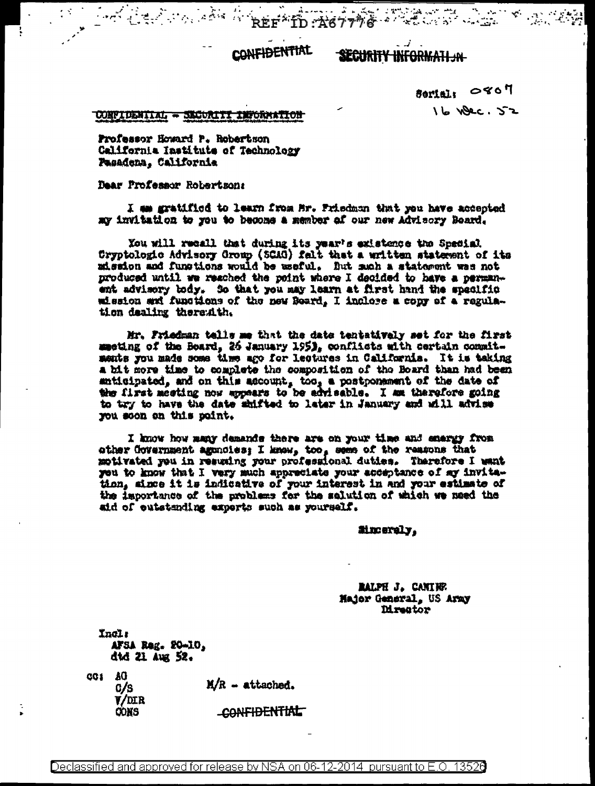**CONFIDENTIAL** 

On Carlotton of the Area to the control of the control of the control of the

ل المحدة **SECURITY INFORMATI JN** 

> Serial: 0807  $16$   $WBC.52$

## CONFIDENTIAL - SECORITI INFORMATION

Professor Howard P. Robertson California Institute of Technology Pasadena, California

Dear Professor Robertson:

I am gratified to learn from Mr. Prisdman that you have accepted my invitation to you to become a member of our new Advisory Board.

You will recall that during its year's existence the Special Cryptologic Advisory Group (SCAG) falt that a written statement of its mission and functions would be useful. But mah a statement was not produced until we reached the point where I decided to have a permanent advisory body. So that you may learn at first hand the specific wission and funciions of the new Board. I inclose a copy of a regulation dealing therewith.

Mr. Friedman tells me that the date tentatively set for the first meeting of the Board, 26 January 195), conflicts with certain commitments you made some time ago for lectures in California. It is taking a bit more time to complete the composition of the Board than had been anticipated, and on this account, too, a postponement of the date of the first meeting now appears to be advisable. I am therefore going to try to have the date shifted to later in January and will advise you soon on this point.

I know how many demands there are on your time and energy from ather Covernment agencies; I know, too, seme of the reasons that motivated you in resuming your professional duties. Therefore I want you to know that I very much appreciate your acceptance of my invitation, since it is indicative of your interest in and your estimate of the importance of the problems for the salution of which we need the aid of eutstanding experts such as yourself.

tinceraly.

RALPH J. CANING Major General, US Aray **Mreator** 

**Yncls** AFSA Reg. 20-10, did 21 Aug 52.

CG1 AO

 $C/S$  $V/MLR$ 

CONS

 $M/R - \text{attached.}$ 

CONFIDENTIAL